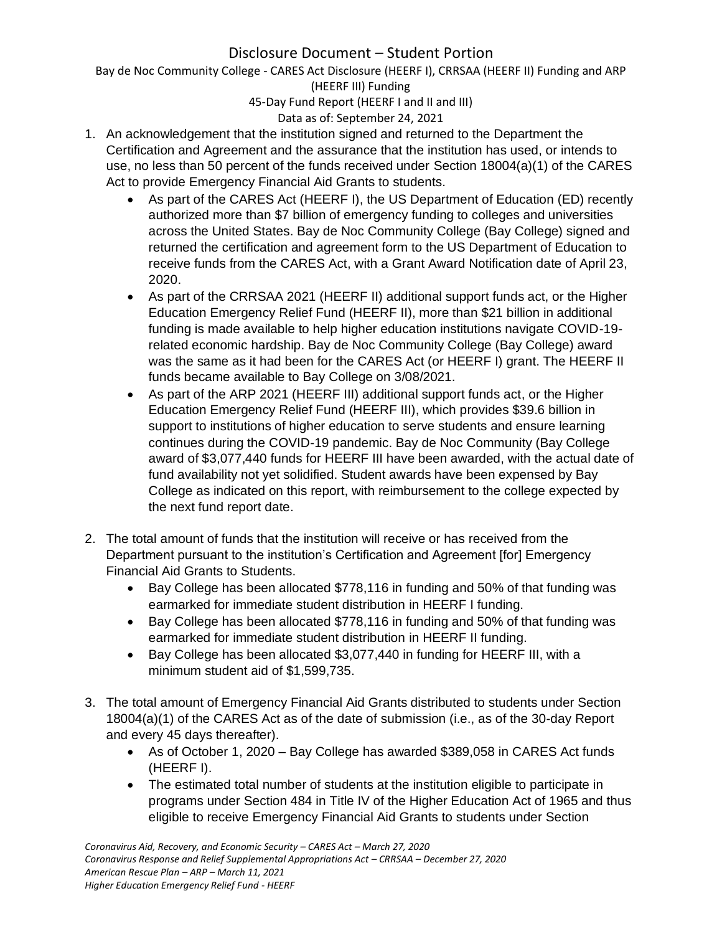Bay de Noc Community College - CARES Act Disclosure (HEERF I), CRRSAA (HEERF II) Funding and ARP (HEERF III) Funding

45-Day Fund Report (HEERF I and II and III)

## Data as of: September 24, 2021

- 1. An acknowledgement that the institution signed and returned to the Department the Certification and Agreement and the assurance that the institution has used, or intends to use, no less than 50 percent of the funds received under Section 18004(a)(1) of the CARES Act to provide Emergency Financial Aid Grants to students.
	- As part of the CARES Act (HEERF I), the US Department of Education (ED) recently authorized more than \$7 billion of emergency funding to colleges and universities across the United States. Bay de Noc Community College (Bay College) signed and returned the certification and agreement form to the US Department of Education to receive funds from the CARES Act, with a Grant Award Notification date of April 23, 2020.
	- As part of the CRRSAA 2021 (HEERF II) additional support funds act, or the Higher Education Emergency Relief Fund (HEERF II), more than \$21 billion in additional funding is made available to help higher education institutions navigate COVID-19 related economic hardship. Bay de Noc Community College (Bay College) award was the same as it had been for the CARES Act (or HEERF I) grant. The HEERF II funds became available to Bay College on 3/08/2021.
	- As part of the ARP 2021 (HEERF III) additional support funds act, or the Higher Education Emergency Relief Fund (HEERF III), which provides \$39.6 billion in support to institutions of higher education to serve students and ensure learning continues during the COVID-19 pandemic. Bay de Noc Community (Bay College award of \$3,077,440 funds for HEERF III have been awarded, with the actual date of fund availability not yet solidified. Student awards have been expensed by Bay College as indicated on this report, with reimbursement to the college expected by the next fund report date.
- 2. The total amount of funds that the institution will receive or has received from the Department pursuant to the institution's Certification and Agreement [for] Emergency Financial Aid Grants to Students.
	- Bay College has been allocated \$778,116 in funding and 50% of that funding was earmarked for immediate student distribution in HEERF I funding.
	- Bay College has been allocated \$778,116 in funding and 50% of that funding was earmarked for immediate student distribution in HEERF II funding.
	- Bay College has been allocated \$3,077,440 in funding for HEERF III, with a minimum student aid of \$1,599,735.
- 3. The total amount of Emergency Financial Aid Grants distributed to students under Section 18004(a)(1) of the CARES Act as of the date of submission (i.e., as of the 30-day Report and every 45 days thereafter).
	- As of October 1, 2020 Bay College has awarded \$389,058 in CARES Act funds (HEERF I).
	- The estimated total number of students at the institution eligible to participate in programs under Section 484 in Title IV of the Higher Education Act of 1965 and thus eligible to receive Emergency Financial Aid Grants to students under Section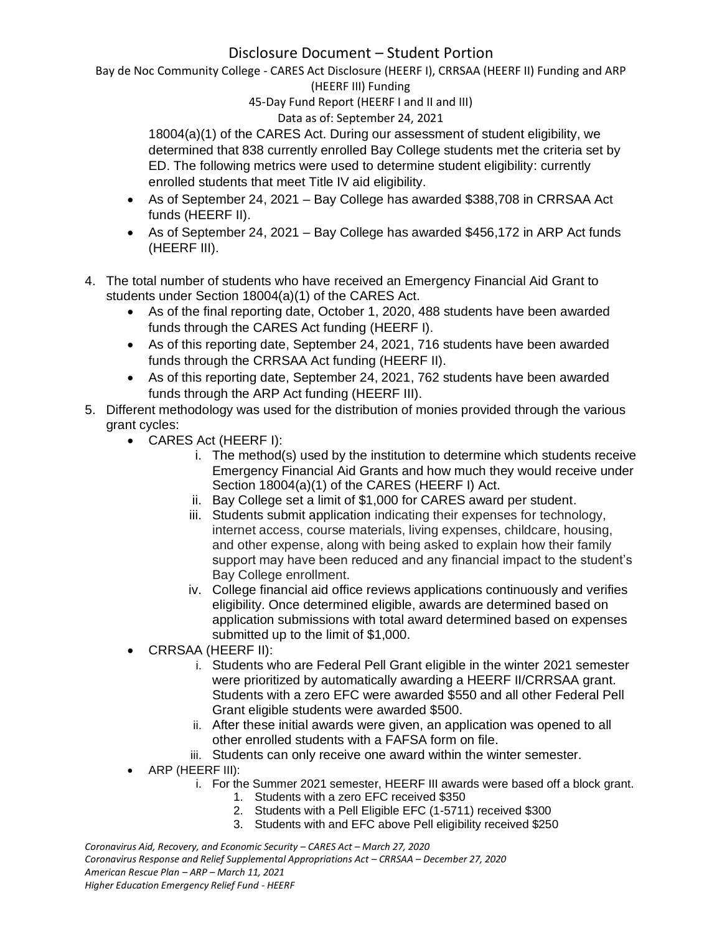Bay de Noc Community College - CARES Act Disclosure (HEERF I), CRRSAA (HEERF II) Funding and ARP (HEERF III) Funding

45-Day Fund Report (HEERF I and II and III)

## Data as of: September 24, 2021

18004(a)(1) of the CARES Act. During our assessment of student eligibility, we determined that 838 currently enrolled Bay College students met the criteria set by ED. The following metrics were used to determine student eligibility: currently enrolled students that meet Title IV aid eligibility.

- As of September 24, 2021 Bay College has awarded \$388,708 in CRRSAA Act funds (HEERF II).
- As of September 24, 2021 Bay College has awarded \$456,172 in ARP Act funds (HEERF III).
- 4. The total number of students who have received an Emergency Financial Aid Grant to students under Section 18004(a)(1) of the CARES Act.
	- As of the final reporting date, October 1, 2020, 488 students have been awarded funds through the CARES Act funding (HEERF I).
	- As of this reporting date, September 24, 2021, 716 students have been awarded funds through the CRRSAA Act funding (HEERF II).
	- As of this reporting date, September 24, 2021, 762 students have been awarded funds through the ARP Act funding (HEERF III).
- 5. Different methodology was used for the distribution of monies provided through the various grant cycles:
	- CARES Act (HEERF I):
		- i. The method(s) used by the institution to determine which students receive Emergency Financial Aid Grants and how much they would receive under Section 18004(a)(1) of the CARES (HEERF I) Act.
		- ii. Bay College set a limit of \$1,000 for CARES award per student.
		- iii. Students submit application indicating their expenses for technology, internet access, course materials, living expenses, childcare, housing, and other expense, along with being asked to explain how their family support may have been reduced and any financial impact to the student's Bay College enrollment.
		- iv. College financial aid office reviews applications continuously and verifies eligibility. Once determined eligible, awards are determined based on application submissions with total award determined based on expenses submitted up to the limit of \$1,000.
	- CRRSAA (HEERF II):
		- i. Students who are Federal Pell Grant eligible in the winter 2021 semester were prioritized by automatically awarding a HEERF II/CRRSAA grant. Students with a zero EFC were awarded \$550 and all other Federal Pell Grant eligible students were awarded \$500.
		- ii. After these initial awards were given, an application was opened to all other enrolled students with a FAFSA form on file.
		- iii. Students can only receive one award within the winter semester.
	- ARP (HEERF III):
		- i. For the Summer 2021 semester, HEERF III awards were based off a block grant.
			- 1. Students with a zero EFC received \$350
			- 2. Students with a Pell Eligible EFC (1-5711) received \$300
			- 3. Students with and EFC above Pell eligibility received \$250

*Coronavirus Aid, Recovery, and Economic Security – CARES Act – March 27, 2020 Coronavirus Response and Relief Supplemental Appropriations Act – CRRSAA – December 27, 2020 American Rescue Plan – ARP – March 11, 2021 Higher Education Emergency Relief Fund - HEERF*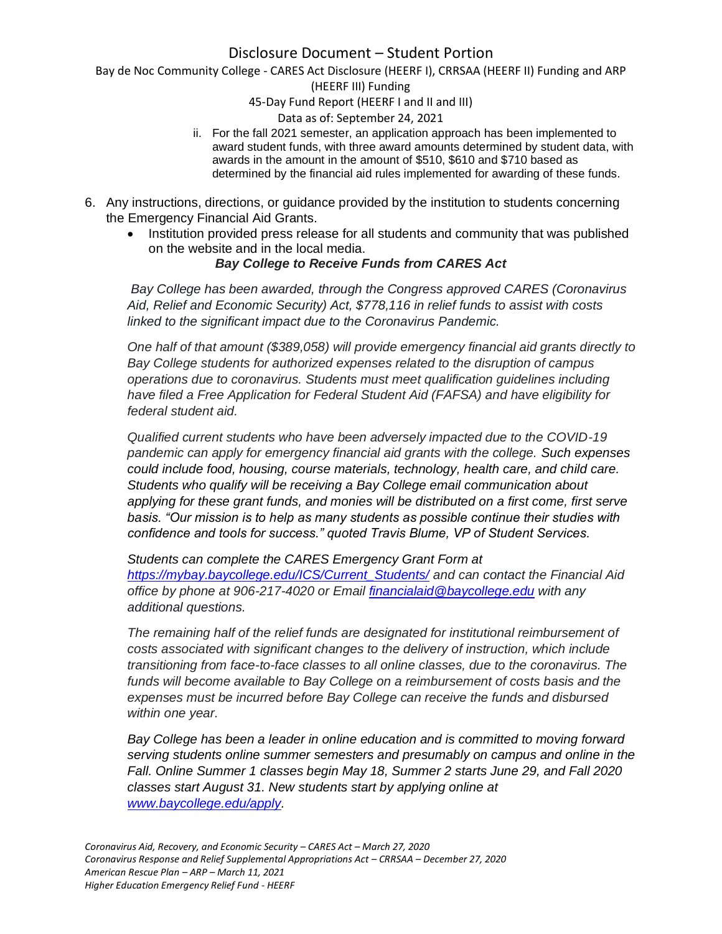Bay de Noc Community College - CARES Act Disclosure (HEERF I), CRRSAA (HEERF II) Funding and ARP

(HEERF III) Funding

45-Day Fund Report (HEERF I and II and III)

#### Data as of: September 24, 2021

- ii. For the fall 2021 semester, an application approach has been implemented to award student funds, with three award amounts determined by student data, with awards in the amount in the amount of \$510, \$610 and \$710 based as determined by the financial aid rules implemented for awarding of these funds.
- 6. Any instructions, directions, or guidance provided by the institution to students concerning the Emergency Financial Aid Grants.
	- Institution provided press release for all students and community that was published on the website and in the local media.

### *Bay College to Receive Funds from CARES Act*

*Bay College has been awarded, through the Congress approved CARES (Coronavirus Aid, Relief and Economic Security) Act, \$778,116 in relief funds to assist with costs linked to the significant impact due to the Coronavirus Pandemic.*

*One half of that amount (\$389,058) will provide emergency financial aid grants directly to Bay College students for authorized expenses related to the disruption of campus operations due to coronavirus. Students must meet qualification guidelines including have filed a Free Application for Federal Student Aid (FAFSA) and have eligibility for federal student aid.*

*Qualified current students who have been adversely impacted due to the COVID-19 pandemic can apply for emergency financial aid grants with the college. Such expenses could include food, housing, course materials, technology, health care, and child care. Students who qualify will be receiving a Bay College email communication about applying for these grant funds, and monies will be distributed on a first come, first serve basis. "Our mission is to help as many students as possible continue their studies with confidence and tools for success." quoted Travis Blume, VP of Student Services.*

*Students can complete the CARES Emergency Grant Form at [https://mybay.baycollege.edu/ICS/Current\\_Students/](https://mybay.baycollege.edu/ICS/Current_Students/) and can contact the Financial Aid office by phone at 906-217-4020 or Email [financialaid@baycollege.edu](mailto:financialaid@baycollege.edu) with any additional questions.*

*The remaining half of the relief funds are designated for institutional reimbursement of costs associated with significant changes to the delivery of instruction, which include transitioning from face-to-face classes to all online classes, due to the coronavirus. The funds will become available to Bay College on a reimbursement of costs basis and the expenses must be incurred before Bay College can receive the funds and disbursed within one year.*

*Bay College has been a leader in online education and is committed to moving forward serving students online summer semesters and presumably on campus and online in the Fall. Online Summer 1 classes begin May 18, Summer 2 starts June 29, and Fall 2020 classes start August 31. New students start by applying online at [www.baycollege.edu/apply.](http://www.baycollege.edu/apply)*